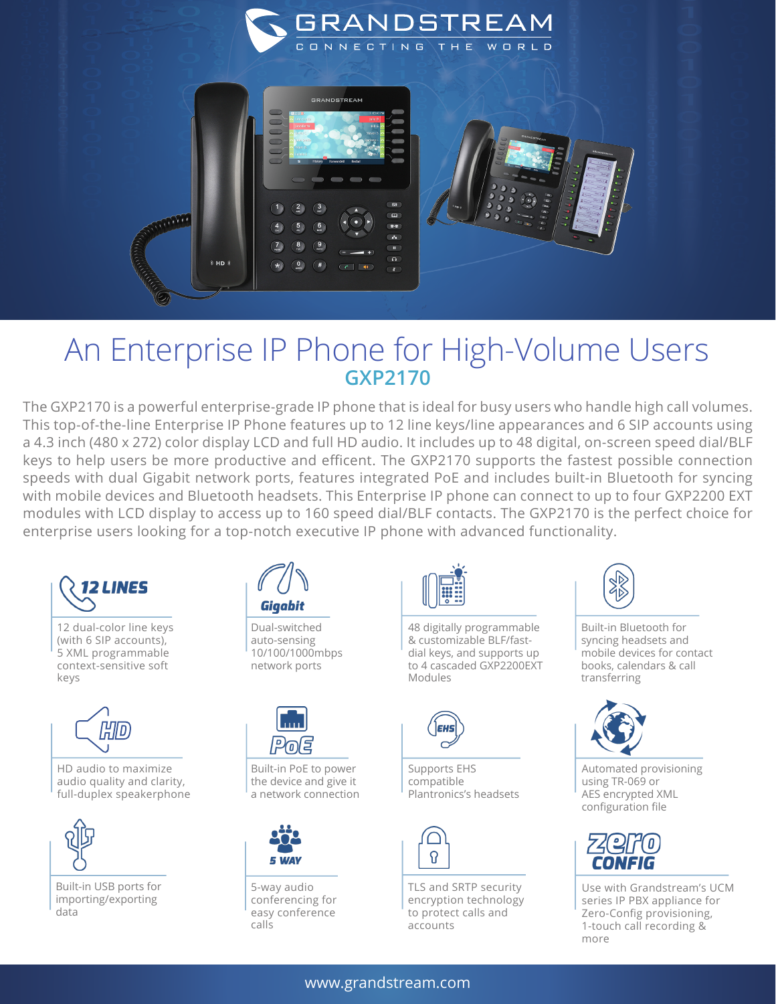

## An Enterprise IP Phone for High-Volume Users **GXP2170**

The GXP2170 is a powerful enterprise-grade IP phone that is ideal for busy users who handle high call volumes. This top-of-the-line Enterprise IP Phone features up to 12 line keys/line appearances and 6 SIP accounts using a 4.3 inch (480 x 272) color display LCD and full HD audio. It includes up to 48 digital, on-screen speed dial/BLF keys to help users be more productive and efficent. The GXP2170 supports the fastest possible connection speeds with dual Gigabit network ports, features integrated PoE and includes built-in Bluetooth for syncing with mobile devices and Bluetooth headsets. This Enterprise IP phone can connect to up to four GXP2200 EXT modules with LCD display to access up to 160 speed dial/BLF contacts. The GXP2170 is the perfect choice for enterprise users looking for a top-notch executive IP phone with advanced functionality.



Built-in PoE to power the device and give it a network connection

conferencing for easy conference



48 digitally programmable & customizable BLF/fastdial keys, and supports up to 4 cascaded GXP2200EXT Modules



Supports EHS compatible Plantronics's headsets



TLS and SRTP security encryption technology to protect calls and accounts



Built-in Bluetooth for syncing headsets and mobile devices for contact books, calendars & call transferring



Automated provisioning using TR-069 or AES encrypted XML configuration file



Use with Grandstream's UCM series IP PBX appliance for Zero-Config provisioning, 1-touch call recording & more